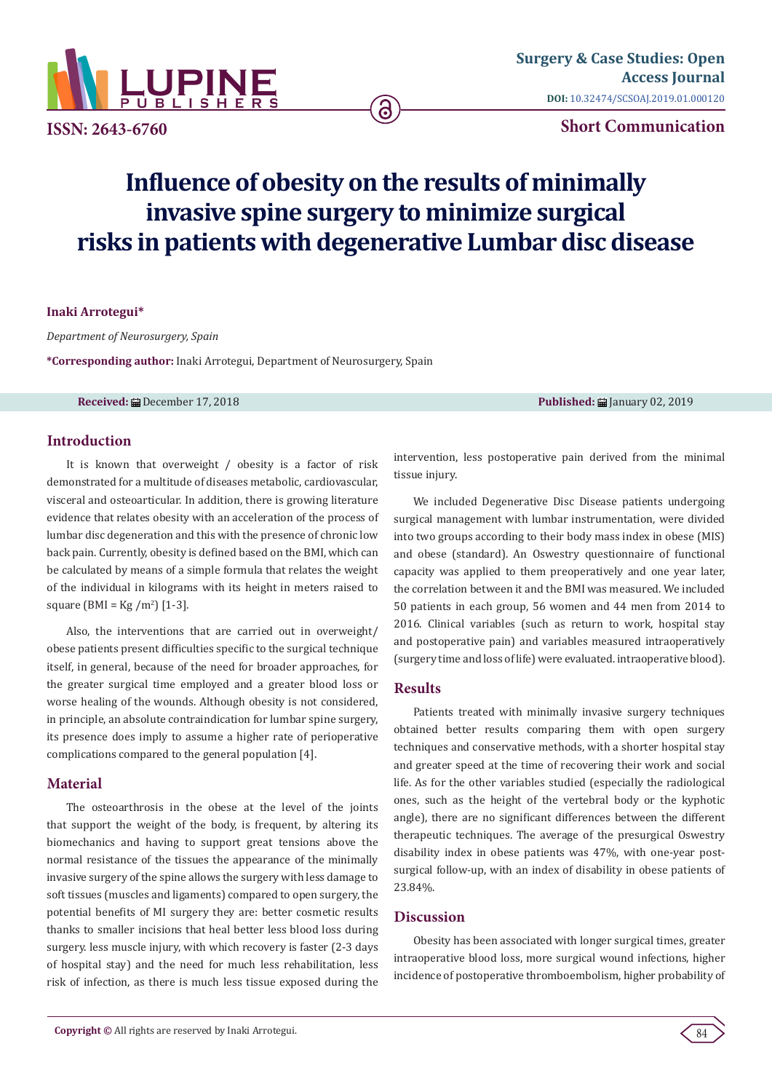

**ISSN: 2643-6760**

# **Short Communication**

# **Influence of obesity on the results of minimally invasive spine surgery to minimize surgical risks in patients with degenerative Lumbar disc disease**

**a** 

#### **Inaki Arrotegui\***

*Department of Neurosurgery, Spain*

**\*Corresponding author:** Inaki Arrotegui, Department of Neurosurgery, Spain

**Received:** ■ December 17, 2018 **Published:** ■ January 02, 2019 **Published:** ■ January 02, 2019

## **Introduction**

It is known that overweight / obesity is a factor of risk demonstrated for a multitude of diseases metabolic, cardiovascular, visceral and osteoarticular. In addition, there is growing literature evidence that relates obesity with an acceleration of the process of lumbar disc degeneration and this with the presence of chronic low back pain. Currently, obesity is defined based on the BMI, which can be calculated by means of a simple formula that relates the weight of the individual in kilograms with its height in meters raised to square (BMI =  $\text{Kg /m}^2$ ) [1-3].

Also, the interventions that are carried out in overweight/ obese patients present difficulties specific to the surgical technique itself, in general, because of the need for broader approaches, for the greater surgical time employed and a greater blood loss or worse healing of the wounds. Although obesity is not considered, in principle, an absolute contraindication for lumbar spine surgery, its presence does imply to assume a higher rate of perioperative complications compared to the general population [4].

#### **Material**

The osteoarthrosis in the obese at the level of the joints that support the weight of the body, is frequent, by altering its biomechanics and having to support great tensions above the normal resistance of the tissues the appearance of the minimally invasive surgery of the spine allows the surgery with less damage to soft tissues (muscles and ligaments) compared to open surgery, the potential benefits of MI surgery they are: better cosmetic results thanks to smaller incisions that heal better less blood loss during surgery. less muscle injury, with which recovery is faster (2-3 days of hospital stay) and the need for much less rehabilitation, less risk of infection, as there is much less tissue exposed during the intervention, less postoperative pain derived from the minimal tissue injury.

We included Degenerative Disc Disease patients undergoing surgical management with lumbar instrumentation, were divided into two groups according to their body mass index in obese (MIS) and obese (standard). An Oswestry questionnaire of functional capacity was applied to them preoperatively and one year later, the correlation between it and the BMI was measured. We included 50 patients in each group, 56 women and 44 men from 2014 to 2016. Clinical variables (such as return to work, hospital stay and postoperative pain) and variables measured intraoperatively (surgery time and loss of life) were evaluated. intraoperative blood).

#### **Results**

Patients treated with minimally invasive surgery techniques obtained better results comparing them with open surgery techniques and conservative methods, with a shorter hospital stay and greater speed at the time of recovering their work and social life. As for the other variables studied (especially the radiological ones, such as the height of the vertebral body or the kyphotic angle), there are no significant differences between the different therapeutic techniques. The average of the presurgical Oswestry disability index in obese patients was 47%, with one-year postsurgical follow-up, with an index of disability in obese patients of 23.84%.

#### **Discussion**

Obesity has been associated with longer surgical times, greater intraoperative blood loss, more surgical wound infections, higher incidence of postoperative thromboembolism, higher probability of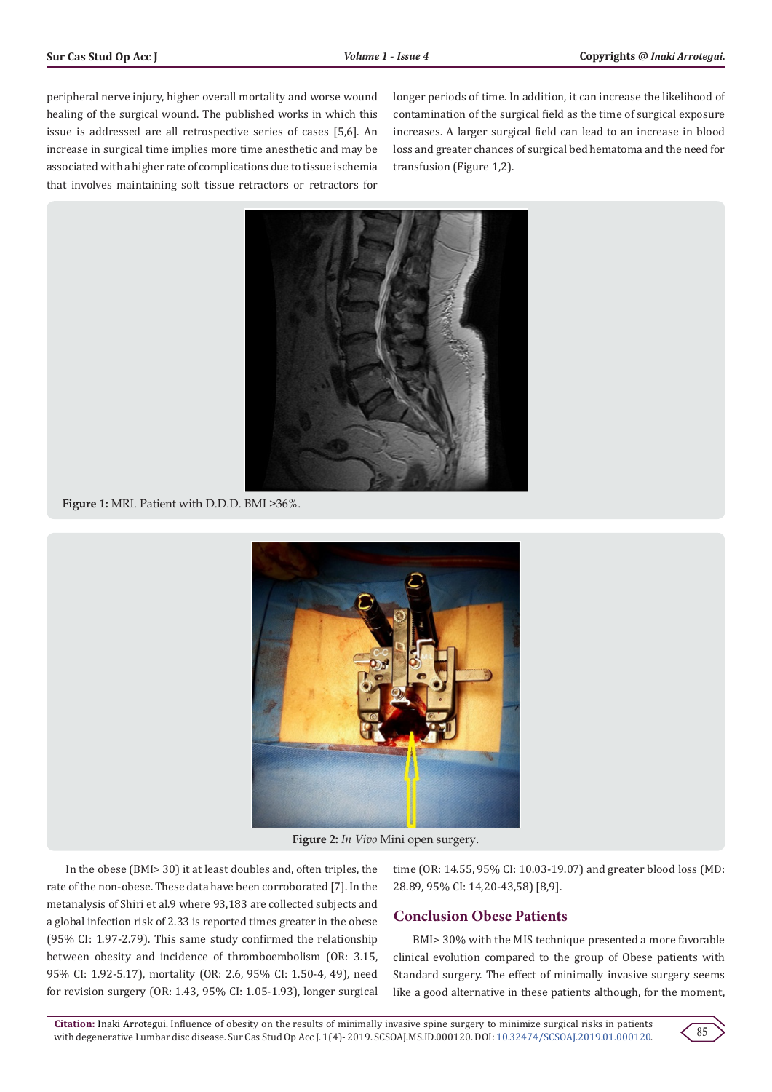peripheral nerve injury, higher overall mortality and worse wound healing of the surgical wound. The published works in which this issue is addressed are all retrospective series of cases [5,6]. An increase in surgical time implies more time anesthetic and may be associated with a higher rate of complications due to tissue ischemia that involves maintaining soft tissue retractors or retractors for

longer periods of time. In addition, it can increase the likelihood of contamination of the surgical field as the time of surgical exposure increases. A larger surgical field can lead to an increase in blood loss and greater chances of surgical bed hematoma and the need for transfusion (Figure 1,2).



**Figure 1:** MRI. Patient with D.D.D. BMI >36%.



**Figure 2:** *In Vivo* Mini open surgery.

In the obese (BMI> 30) it at least doubles and, often triples, the rate of the non-obese. These data have been corroborated [7]. In the metanalysis of Shiri et al.9 where 93,183 are collected subjects and a global infection risk of 2.33 is reported times greater in the obese (95% CI: 1.97-2.79). This same study confirmed the relationship between obesity and incidence of thromboembolism (OR: 3.15, 95% CI: 1.92-5.17), mortality (OR: 2.6, 95% CI: 1.50-4, 49), need for revision surgery (OR: 1.43, 95% CI: 1.05-1.93), longer surgical

time (OR: 14.55, 95% CI: 10.03-19.07) and greater blood loss (MD: 28.89, 95% CI: 14,20-43,58) [8,9].

### **Conclusion Obese Patients**

BMI> 30% with the MIS technique presented a more favorable clinical evolution compared to the group of Obese patients with Standard surgery. The effect of minimally invasive surgery seems like a good alternative in these patients although, for the moment,